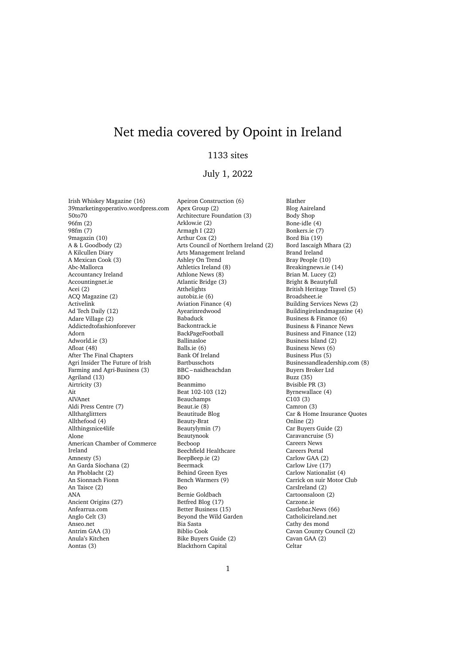# Net media covered by Opoint in Ireland

## 1133 sites

## July 1, 2022

Irish Whiskey Magazine (16) 39marketingoperativo.wordpress.com 50to70 96fm (2) 98fm (7) 9magazin (10) A & L Goodbody (2) A Kilcullen Diary A Mexican Cook (3) Abc-Mallorca Accountancy Ireland Accountingnet.ie Acei (2) ACQ Magazine (2) Activelink Ad Tech Daily (12) Adare Village (2) Addictedtofashionforever Adorn Adworld.ie (3) Afloat (48) After The Final Chapters Agri Insider The Future of Irish Farming and Agri-Business (3) Agriland (13) Airtricity (3) Ait AIVAnet Aldi Press Centre (7) Allthatglittters Allthefood (4) Allthingsnice4life Alone American Chamber of Commerce Ireland Amnesty (5) An Garda Síochana (2) An Phoblacht (2) An Sionnach Fionn An Taisce (2) ANA Ancient Origins (27) Anfearrua.com Anglo Celt (3) Anseo.net Antrim GAA (3) Anula's Kitchen Aontas (3)

Apeiron Construction (6) Apex Group (2) Architecture Foundation (3) Arklow.ie (2) Armagh I (22) Arthur Cox (2) Arts Council of Northern Ireland (2) Arts Management Ireland Ashley On Trend Athletics Ireland (8) Athlone News (8) Atlantic Bridge (3) Atthelights autobiz.ie (6) Aviation Finance (4) Ayearinredwood Babaduck Backontrack.ie BackPageFootball Ballinasloe Balls.ie (6) Bank Of Ireland Bartbusschots BBC – naidheachdan BDO Beanmimo Beat 102-103 (12) Beauchamps Beaut.ie (8) Beautitude Blog Beauty-Brat Beautylymin (7) Beautynook Becboop Beechfield Healthcare BeepBeep.ie (2) Beermack Behind Green Eyes Bench Warmers (9) Beo Bernie Goldbach Betfred Blog (17) Better Business (15) Beyond the Wild Garden Bia Sasta Biblio Cook Bike Buyers Guide (2) Blackthorn Capital

Blather Blog Aaireland Body Shop Bone-idle (4) Bonkers.ie (7) Bord Bia (19) Bord Iascaigh Mhara (2) Brand Ireland Bray People (10) Breakingnews.ie (14) Brian M. Lucey (2) Bright & Beautyfull British Heritage Travel (5) Broadsheet.ie Building Services News (2) Buildingirelandmagazine (4) Business & Finance (6) Business & Finance News Business and Finance (12) Business Island (2) Business News (6) Business Plus (5) Businessandleadership.com (8) Buyers Broker Ltd Buzz (35) Bvisible PR (3) Byrnewallace (4) C103 (3) Camron (3) Car & Home Insurance Quotes Online (2) Car Buyers Guide (2) Caravancruise (5) Careers News Careers Portal Carlow GAA (2) Carlow Live (17) Carlow Nationalist (4) Carrick on suir Motor Club CarsIreland (2) Cartoonsaloon (2) Carzone.ie Castlebar.News (66) Catholicireland.net Cathy des mond Cavan County Council (2) Cavan GAA (2) Celtar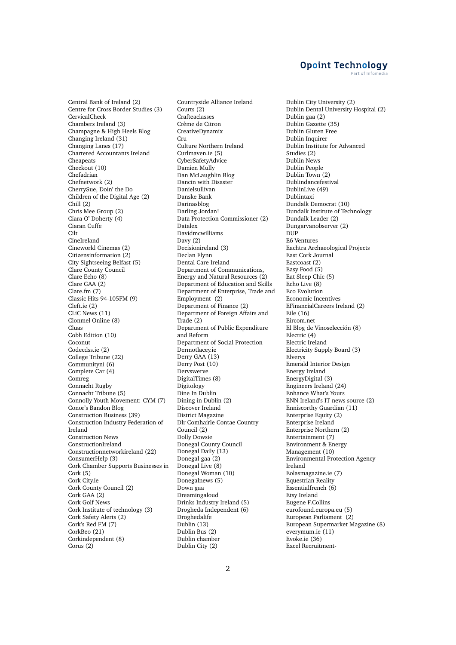### **Opoint Technology** Part of Infomer

Central Bank of Ireland (2) Centre for Cross Border Studies (3) CervicalCheck Chambers Ireland (3) Champagne & High Heels Blog Changing Ireland (31) Changing Lanes (17) Chartered Accountants Ireland Cheapeats Checkout (10) Chefadrian Chefnetwork (2) CherrySue, Doin' the Do Children of the Digital Age (2) Chill (2) Chris Mee Group (2) Ciara O' Doherty (4) Ciaran Cuffe C<sub>ilt</sub> CineIreland Cineworld Cinemas (2) Citizensinformation (2) City Sightseeing Belfast (5) Clare County Council Clare Echo (8) Clare GAA (2) Clare.fm (7) Classic Hits 94-105FM (9) Cleft.ie (2) CLiC News (11) Clonmel Online (8) Cluas Cobh Edition (10) Coconut Codecdss.ie (2) College Tribune (22) Communityni (6) Complete Car (4) Comreg Connacht Rugby Connacht Tribune (5) Connolly Youth Movement: CYM (7) Conor's Bandon Blog Construction Business (39) Construction Industry Federation of Ireland Construction News ConstructionIreland Constructionnetworkireland (22) ConsumerHelp (3) Cork Chamber Supports Businesses in Cork (5) Cork City.ie Cork County Council (2) Cork GAA (2) Cork Golf News Cork Institute of technology (3) Cork Safety Alerts (2) Cork's Red FM (7) CorkBeo (21) Corkindependent (8) Corus (2)

Countryside Alliance Ireland Courts (2) Crafteaclasses Crème de Citron CreativeDynamix Cru Culture Northern Ireland Curlmaven.ie (5) CyberSafetyAdvice Damien Mully Dan McLaughlin Blog Dancin with Disaster Danielsullivan Danske Bank Darinasblog Darling Jordan! Data Protection Commissioner (2) Datalex Davidmcwilliams Davy (2) Decisionireland (3) Declan Flynn Dental Care Ireland Department of Communications, Energy and Natural Resources (2) Department of Education and Skills Department of Enterprise, Trade and Employment (2) Department of Finance (2) Department of Foreign Affairs and Trade (2) Department of Public Expenditure and Reform Department of Social Protection Dermotlacey.ie Derry GAA (13) Derry Post (10) Dervswerve DigitalTimes (8) Digitology Dine In Dublin Dining in Dublin (2) Discover Ireland District Magazine Dlr Comhairle Contae Country Council (2) Dolly Dowsie Donegal County Council Donegal Daily (13) Donegal gaa (2) Donegal Live (8) Donegal Woman (10) Donegalnews (5) Down gaa Dreamingaloud Drinks Industry Ireland (5) Drogheda Independent (6) Droghedalife Dublin (13) Dublin Bus (2) Dublin chamber Dublin City (2)

Dublin City University (2) Dublin Dental University Hospital (2) Dublin gaa (2) Dublin Gazette (35) Dublin Gluten Free Dublin Inquirer Dublin Institute for Advanced Studies (2) Dublin News Dublin People Dublin Town (2) Dublindancefestival DublinLive (49) Dublintaxi Dundalk Democrat (10) Dundalk Institute of Technology Dundalk Leader (2) Dungarvanobserver (2) DUP<sub>p</sub> E6 Ventures Eachtra Archaeological Projects East Cork Journal Eastcoast (2) Easy Food (5) Eat Sleep Chic (5) Echo Live (8) Eco Evolution Economic Incentives EFinancialCareers Ireland (2) Eile (16) Eircom.net El Blog de Vinoselección (8) Electric (4) Electric Ireland Electricity Supply Board (3) Elverys Emerald Interior Design Energy Ireland EnergyDigital (3) Engineers Ireland (24) Enhance What's Yours ENN Ireland's IT news source (2) Enniscorthy Guardian (11) Enterprise Equity (2) Enterprise Ireland Enterprise Northern (2) Entertainment (7) Environment & Energy Management (10) Environmental Protection Agency Ireland Eolasmagazine.ie (7) Equestrian Reality Essentialfrench (6) Etsy Ireland Eugene F.Collins eurofound.europa.eu (5) European Parliament (2) European Supermarket Magazine (8) everymum.ie (11) Evoke.ie (36) Excel Recruitment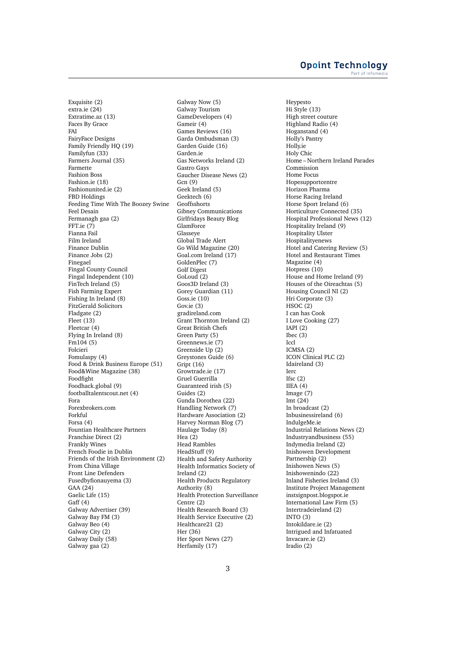Exquisite (2) extra.ie (24) Extratime.az (13) Faces By Grace FAI FairyFace Designs Family Friendly HQ (19) Familyfun (33) Farmers Journal (35) Farmette Fashion Boss Fashion.ie (18) Fashionunited.ie (2) FBD Holdings Feeding Time With The Boozey Swine Feel Desain Fermanagh gaa (2) FFT.ie (7) Fianna Fail Film Ireland Finance Dublin Finance Jobs (2) Finegael Fingal County Council Fingal Independent (10) FinTech Ireland (5) Fish Farming Expert Fishing In Ireland (8) FitzGerald Solicitors Fladgate (2) Fleet (13) Fleetcar (4) Flying In Ireland (8)  $Fm104(5)$ Folcieri Fomulaspy (4) Food & Drink Business Europe (51) Food&Wine Magazine (38) Foodfight Foodhack.global (9) footballtalentscout.net (4) Fora Forexbrokers.com Forkful Forsa (4) Fountian Healthcare Partners Franchise Direct (2) Frankly Wines French Foodie in Dublin Friends of the Irish Environment (2) From China Village Front Line Defenders Fusedbyfionauyema (3) GAA (24) Gaelic Life (15) Gaff (4) Galway Advertiser (39) Galway Bay FM (3) Galway Beo (4) Galway City (2) Galway Daily (58) Galway gaa (2)

Galway Now (5) Galway Tourism GameDevelopers (4) Gameir (4) Games Reviews (16) Garda Ombudsman (3) Garden Guide (16) Garden.ie Gas Networks Ireland (2) Gastro Gays Gaucher Disease News (2) Gcn (9) Geek Ireland (5) Geektech (6) Geoffsshorts Gibney Communications Girlfridays Beauty Blog GlamForce Glasseye Global Trade Alert Go Wild Magazine (20) Goal.com Ireland (17) GoldenPlec (7) Golf Digest GoLoud (2) Goos3D Ireland (3) Gorey Guardian (11) Goss.ie (10) Gov.ie (3) gradireland.com Grant Thornton Ireland (2) Great British Chefs Green Party (5) Greennews.ie (7) Greenside Up (2) Greystones Guide (6) Gript (16) Growtrade.ie (17) Gruel Guerrilla Guaranteed irish (5) Guides (2) Gunda Dorothea (22) Handling Network (7) Hardware Association (2) Harvey Norman Blog (7) Haulage Today (8) Hea (2) Head Rambles HeadStuff (9) Health and Safety Authority Health Informatics Society of Ireland (2) Health Products Regulatory Authority (8) Health Protection Surveillance Centre (2) Health Research Board (3) Health Service Executive (2) Healthcare21 (2) Her (36) Her Sport News (27) Herfamily (17)

Heypesto Hi Style (13) High street couture Highland Radio (4) Hoganstand (4) Holly's Pantry Holly.ie Holy Chic Home – Northern Ireland Parades Commission Home Focus Hopesupportcentre Horizon Pharma Horse Racing Ireland Horse Sport Ireland (6) Horticulture Connected (35) Hospital Professional News (12) Hospitality Ireland (9) Hospitality Ulster **Hospitalityenews** Hotel and Catering Review (5) Hotel and Restaurant Times Magazine (4) Hotpress (10) House and Home Ireland (9) Houses of the Oireachtas (5) Housing Council NI (2) Hri Corporate (3)  $HSOC(2)$ I can has Cook I Love Cooking (27) IAPI (2) Ibec (3) Iccl ICMSA (2) ICON Clinical PLC (2) Idaireland (3) Ierc Ifsc $(2)$ IIEA (4) Image (7) Imt $(24)$ In broadcast (2) Inbusinessireland (6) IndulgeMe.ie Industrial Relations News (2) Industryandbusiness (55) Indymedia Ireland (2) Inishowen Development Partnership (2) Inishowen News (5) Inishowenindo (22) Inland Fisheries Ireland (3) Institute Project Management instsignpost.blogspot.ie International Law Firm (5) Intertradeireland (2) INTO (3) Intokildare.ie (2) Intrigued and Infatuated Invacare.ie (2) Iradio (2)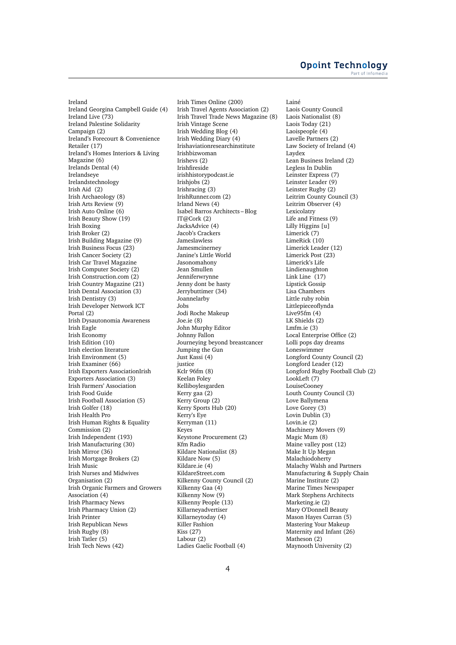### **Opoint Technology** Part of Infomer

Ireland Ireland Georgina Campbell Guide (4) Ireland Live (73) Ireland Palestine Solidarity Campaign (2) Ireland's Forecourt & Convenience Retailer (17) Ireland's Homes Interiors & Living Magazine (6) Irelands Dental (4) Irelandseye Irelandstechnology Irish Aid (2) Irish Archaeology (8) Irish Arts Review (9) Irish Auto Online (6) Irish Beauty Show (19) Irish Boxing Irish Broker (2) Irish Building Magazine (9) Irish Business Focus (23) Irish Cancer Society (2) Irish Car Travel Magazine Irish Computer Society (2) Irish Construction.com (2) Irish Country Magazine (21) Irish Dental Association (3) Irish Dentistry (3) Irish Developer Network ICT Portal (2) Irish Dysautonomia Awareness Irish Eagle Irish Economy Irish Edition (10) Irish election literature Irish Environment (5) Irish Examiner (66) Irish Exporters AssociationIrish Exporters Association (3) Irish Farmers' Association Irish Food Guide Irish Football Association (5) Irish Golfer (18) Irish Health Pro Irish Human Rights & Equality Commission (2) Irish Independent (193) Irish Manufacturing (30) Irish Mirror (36) Irish Mortgage Brokers (2) Irish Music Irish Nurses and Midwives Organisation (2) Irish Organic Farmers and Growers Association (4) Irish Pharmacy News Irish Pharmacy Union (2) Irish Printer Irish Republican News Irish Rugby (8) Irish Tatler (5) Irish Tech News (42)

Irish Times Online (200) Irish Travel Agents Association (2) Irish Travel Trade News Magazine (8) Irish Vintage Scene Irish Wedding Blog (4) Irish Wedding Diary (4) Irishaviationresearchinstitute Irishbizwoman Irishevs (2) Irishfireside irishhistorypodcast.ie Irishjobs (2) Irishracing (3) IrishRunner.com (2) Irland News (4) Isabel Barros Architects – Blog IT@Cork (2) JacksAdvice (4) Jacob's Crackers Jameslawless Jamesmcinerney Janine's Little World Jasonomahony Jean Smullen Jenniferwrynne Jenny dont be hasty Jerrybuttimer (34) Joannelarby Jobs Jodi Roche Makeup Joe.ie (8) John Murphy Editor Johnny Fallon Journeying beyond breastcancer Jumping the Gun Just Kassi (4) justice Kclr 96fm (8) Keelan Foley Kelliboylesgarden Kerry gaa (2) Kerry Group (2) Kerry Sports Hub (20) Kerry's Eye Kerryman (11) Keyes Keystone Procurement (2) Kfm Radio Kildare Nationalist (8) Kildare Now (5) Kildare.ie (4) KildareStreet.com Kilkenny County Council (2) Kilkenny Gaa (4) Kilkenny Now (9) Kilkenny People (13) Killarneyadvertiser Killarneytoday (4) Killer Fashion Kiss (27) Labour (2) Ladies Gaelic Football (4)

Lainé Laois County Council Laois Nationalist (8) Laois Today (21) Laoispeople (4) Lavelle Partners (2) Law Society of Ireland (4) Laydex Lean Business Ireland (2) Legless In Dublin Leinster Express (7) Leinster Leader (9) Leinster Rugby (2) Leitrim County Council (3) Leitrim Observer (4) Lexicolatry Life and Fitness (9) Lilly Higgins [u] Limerick (7) LimeRick (10) Limerick Leader (12) Limerick Post (23) Limerick's Life Lindienaughton Link Line (17) Lipstick Gossip Lisa Chambers Little ruby robin Littlepieceoflynda Live95fm (4) LK Shields (2) Lmfm.ie (3) Local Enterprise Office (2) Lolli pops day dreams Loneswimmer Longford County Council (2) Longford Leader (12) Longford Rugby Football Club (2) LookLeft (7) LouiseCooney Louth County Council (3) Love Ballymena Love Gorey (3) Lovin Dublin (3) Lovin.ie (2) Machinery Movers (9) Magic Mum (8) Maine valley post (12) Make It Up Megan Malachiodoherty Malachy Walsh and Partners Manufacturing & Supply Chain Marine Institute (2) Marine Times Newspaper Mark Stephens Architects Marketing.ie (2) Mary O'Donnell Beauty Mason Hayes Curran (5) Mastering Your Makeup Maternity and Infant (26) Matheson (2) Maynooth University (2)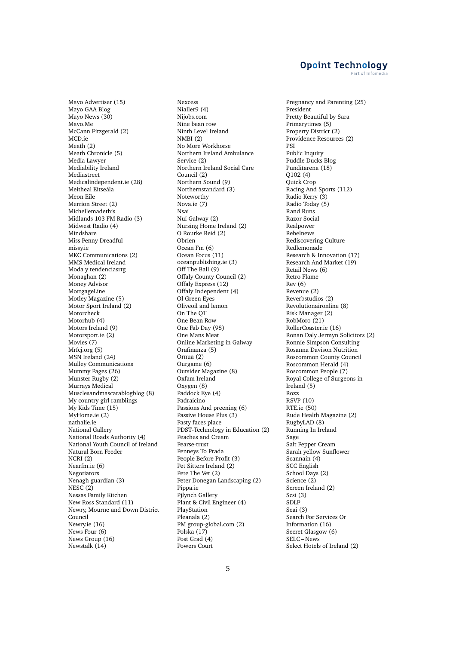Mayo Advertiser (15) Mayo GAA Blog Mayo News (30) Mayo.Me McCann Fitzgerald (2) MCD.ie Meath (2) Meath Chronicle (5) Media Lawyer Mediability Ireland Mediastreet Medicalindependent.ie (28) Meitheal Eitseála Meon Eile Merrion Street (2) Michellemadethis Midlands 103 FM Radio (3) Midwest Radio (4) Mindshare Miss Penny Dreadful missy.ie MKC Communications (2) MMS Medical Ireland Moda y tendenciasrtg Monaghan (2) Money Advisor MortgageLine Motley Magazine (5) Motor Sport Ireland (2) Motorcheck Motorhub (4) Motors Ireland (9) Motorsport.ie (2) Movies (7) Mrfcj.org (5) MSN Ireland (24) Mulley Communications Mummy Pages (26) Munster Rugby (2) Murrays Medical Musclesandmascarablogblog (8) My country girl ramblings My Kids Time (15) MyHome.ie (2) nathalie.ie National Gallery National Roads Authority (4) National Youth Council of Ireland Natural Born Feeder NCRI (2) Nearfm.ie (6) Negotiators Nenagh guardian (3) NESC (2) Nessas Family Kitchen New Ross Standard (11) Newry, Mourne and Down District Council Newry.ie (16) News Four (6) News Group (16) Newstalk (14)

Nexcess Nialler9 (4) Nijobs.com Nine bean row Ninth Level Ireland NMBI (2) No More Workhorse Northern Ireland Ambulance Service (2) Northern Ireland Social Care Council (2) Northern Sound (9) Northernstandard (3) Noteworthy Nova.ie (7) Nsai Nui Galway (2) Nursing Home Ireland (2) O Rourke Reid (2) Obrien Ocean Fm (6) Ocean Focus (11) oceanpublishing.ie (3) Off The Ball (9) Offaly County Council (2) Offaly Express (12) Offaly Independent (4) Ol Green Eyes Oliveoil and lemon On The QT One Bean Row One Fab Day (98) One Mans Meat Online Marketing in Galway Orafinanza (5) Ornua (2) Ourgame (6) Outsider Magazine (8) Oxfam Ireland Oxygen (8) Paddock Eye (4) Padraicino Passions And preening (6) Passive House Plus (3) Pasty faces place PDST-Technology in Education (2) Peaches and Cream Pearse-trust Penneys To Prada People Before Profit (3) Pet Sitters Ireland (2) Pete The Vet (2) Peter Donegan Landscaping (2) Pippa.ie Pjlynch Gallery Plant & Civil Engineer (4) PlayStation Pleanala (2) PM group-global.com (2) Polska (17) Post Grad (4) Powers Court

Pregnancy and Parenting (25) President Pretty Beautiful by Sara Primarytimes (5) Property District (2) Providence Resources (2) PSI Public Inquiry Puddle Ducks Blog Punditarena (18)  $Q102(4)$ Quick Crop Racing And Sports (112) Radio Kerry (3) Radio Today (5) Rand Runs Razor Social Realpower Rebelnews Rediscovering Culture Redlemonade Research & Innovation (17) Research And Market (19) Retail News (6) Retro Flame Rev (6) Revenue (2) Reverbstudios (2) Revolutionaironline (8) Risk Manager (2) RobMoro (21) RollerCoaster.ie (16) Ronan Daly Jermyn Solicitors (2) Ronnie Simpson Consulting Rosanna Davison Nutrition Roscommon County Council Roscommon Herald (4) Roscommon People (7) Royal College of Surgeons in Ireland (5) Rozz RSVP (10) RTE.ie (50) Rude Health Magazine (2) RugbyLAD (8) Running In Ireland Sage Salt Pepper Cream Sarah yellow Sunflower Scannain (4) SCC English School Days (2) Science (2) Screen Ireland (2) Scsi (3) SDLP Seai (3) Search For Services Or Information (16) Secret Glasgow (6) SELC – News Select Hotels of Ireland (2)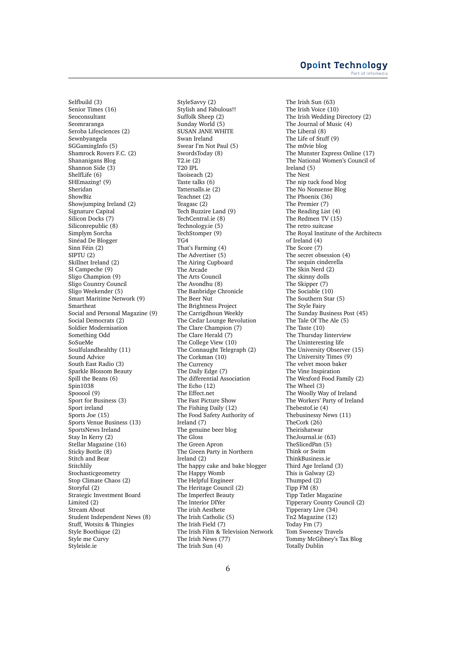Selfbuild (3) Senior Times (16) Seoconsultant Seomraranga Seroba Lifesciences (2) Sewnbyangela SGGamingInfo (5) Shamrock Rovers F.C. (2) Shananigans Blog Shannon Side (3) ShelfLife (6) SHEmazing! (9) Sheridan ShowBiz Showjumping Ireland (2) Signature Capital Silicon Docks (7) Siliconrepublic (8) Simplym Sorcha Sinéad De Blogger Sinn Féin (2) SIPTU (2) Skillnet Ireland (2) Sl Campeche (9) Sligo Champion (9) Sligo Country Council Sligo Weekender (5) Smart Maritime Network (9) Smartheat Social and Personal Magazine (9) Social Democrats (2) Soldier Modernisation Something Odd SoSueMe Soulfulandhealthy (11) Sound Advice South East Radio (3) Sparkle Blossom Beauty Spill the Beans (6) Spin1038 Spooool (9) Sport for Business (3) Sport ireland Sports Joe (15) Sports Venue Business (13) SportsNews Ireland Stay In Kerry (2) Stellar Magazine (16) Sticky Bottle (8) Stitch and Bear Stitchlily **Stochasticgeometry** Stop Climate Chaos (2) Storyful (2) Strategic Investment Board Limited (2) Stream About Student Independent News (8) Stuff, Wotsits & Thingies Style Boothique (2) Style me Curvy Styleisle.ie

StyleSavvy (2) Stylish and Fabulous!! Suffolk Sheep (2) Sunday World (5) SUSAN JANE WHITE Swan Ireland Swear I'm Not Paul (5) SwordsToday (8) T2.ie (2) T20 IPL Taoiseach (2) Taste talks (6) Tattersalls.ie (2) Teachnet (2) Teagasc (2) Tech Buzzire Land (9) TechCentral.ie (8) Technology.ie (5) TechStomper (9) TG4 That's Farming (4) The Advertiser (5) The Airing Cupboard The Arcade The Arts Council The Avondhu (8) The Banbridge Chronicle The Beer Nut The Brightness Project The Carrigdhoun Weekly The Cedar Lounge Revolution The Clare Champion (7) The Clare Herald (7) The College View (10) The Connaught Telegraph (2) The Corkman (10) The Currency The Daily Edge (7) The differential Association The Echo (12) The Effect.net The Fast Picture Show The Fishing Daily (12) The Food Safety Authority of Ireland (7) The genuine beer blog The Gloss The Green Apron The Green Party in Northern Ireland (2) The happy cake and bake blogger The Happy Womb The Helpful Engineer The Heritage Council (2) The Imperfect Beauty The Interior DIYer The irish Aesthete The Irish Catholic (5) The Irish Field (7) The Irish Film & Television Network The Irish News (77) The Irish Sun (4)

The Irish Sun (63) The Irish Voice (10) The Irish Wedding Directory (2) The Journal of Music (4) The Liberal (8) The Life of Stuff (9) The m0vie blog The Munster Express Online (17) The National Women's Council of Ireland (5) The Nest The nip tuck food blog The No Nonsense Blog The Phoenix (36) The Premier (7) The Reading List (4) The Redmen TV (15) The retro suitcase The Royal Institute of the Architects of Ireland (4) The Score (7) The secret obsession (4) The sequin cinderella The Skin Nerd (2) The skinny dolls The Skipper (7) The Sociable (10) The Southern Star (5) The Style Fairy The Sunday Business Post (45) The Tale Of The Ale (5) The Taste (10) The Thursday Iinterview The Uninteresting life The University Observer (15) The University Times (9) The velvet moon baker The Vine Inspiration The Wexford Food Family (2) The Wheel (3) The Woolly Way of Ireland The Workers' Party of Ireland Thebestof.ie (4) Thebusinessy News (11) TheCork (26) Theirishatwar TheJournal.ie (63) TheSlicedPan (5) Think or Swim ThinkBusiness.ie Third Age Ireland (3) This is Galway (2) Thumped (2) Tipp FM (8) Tipp Tatler Magazine Tipperary County Council (2) Tipperary Live (34) Tn2 Magazine (12) Today Fm (7) Tom Sweeney Travels Tommy McGibney's Tax Blog Totally Dublin